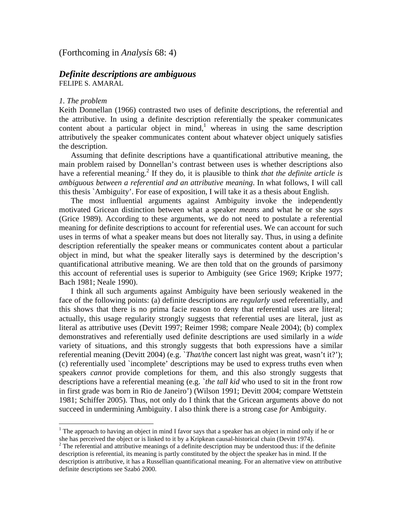(Forthcoming in *Analysis* 68: 4)

# *Definite descriptions are ambiguous*

FELIPE S. AMARAL

## *1. The problem*

Keith Donnellan (1966) contrasted two uses of definite descriptions, the referential and the attributive. In using a definite description referentially the speaker communicates content about a particular object in  $mind$ ,<sup>1</sup> whereas in using the same description attributively the speaker communicates content about whatever object uniquely satisfies the description.

Assuming that definite descriptions have a quantificational attributive meaning, the main problem raised by Donnellan's contrast between uses is whether descriptions also have a referential meaning.<sup>2</sup> If they do, it is plausible to think *that the definite article is ambiguous between a referential and an attributive meaning*. In what follows, I will call this thesis `Ambiguity'. For ease of exposition, I will take it as a thesis about English.

The most influential arguments against Ambiguity invoke the independently motivated Gricean distinction between what a speaker *means* and what he or she *says* (Grice 1989). According to these arguments, we do not need to postulate a referential meaning for definite descriptions to account for referential uses. We can account for such uses in terms of what a speaker means but does not literally say. Thus, in using a definite description referentially the speaker means or communicates content about a particular object in mind, but what the speaker literally says is determined by the description's quantificational attributive meaning. We are then told that on the grounds of parsimony this account of referential uses is superior to Ambiguity (see Grice 1969; Kripke 1977; Bach 1981; Neale 1990).

I think all such arguments against Ambiguity have been seriously weakened in the face of the following points: (a) definite descriptions are *regularly* used referentially, and this shows that there is no prima facie reason to deny that referential uses are literal; actually, this usage regularity strongly suggests that referential uses are literal, just as literal as attributive uses (Devitt 1997; Reimer 1998; compare Neale 2004); (b) complex demonstratives and referentially used definite descriptions are used similarly in a *wide* variety of situations, and this strongly suggests that both expressions have a similar referential meaning (Devitt 2004) (e.g. `*That/the* concert last night was great, wasn't it?'); (c) referentially used `incomplete' descriptions may be used to express truths even when speakers *cannot* provide completions for them, and this also strongly suggests that descriptions have a referential meaning (e.g. `*the tall kid* who used to sit in the front row in first grade was born in Rio de Janeiro') (Wilson 1991; Devitt 2004; compare Wettstein 1981; Schiffer 2005). Thus, not only do I think that the Gricean arguments above do not succeed in undermining Ambiguity. I also think there is a strong case *for* Ambiguity.

<span id="page-0-0"></span> $\frac{1}{1}$ <sup>1</sup> The approach to having an object in mind I favor says that a speaker has an object in mind only if he or she has perceived the object or is linked to it by a Kripkean causal-historical chain (Devitt 1974). 2

<span id="page-0-1"></span> $2$  The referential and attributive meanings of a definite description may be understood thus: if the definite description is referential, its meaning is partly constituted by the object the speaker has in mind. If the description is attributive, it has a Russellian quantificational meaning. For an alternative view on attributive definite descriptions see Szabó 2000.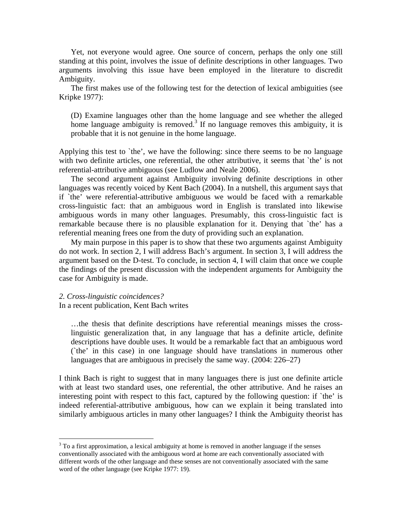Yet, not everyone would agree. One source of concern, perhaps the only one still standing at this point, involves the issue of definite descriptions in other languages. Two arguments involving this issue have been employed in the literature to discredit Ambiguity.

The first makes use of the following test for the detection of lexical ambiguities (see Kripke 1977):

(D) Examine languages other than the home language and see whether the alleged home language ambiguity is removed.<sup>[3](#page-1-0)</sup> If no language removes this ambiguity, it is probable that it is not genuine in the home language.

Applying this test to `the', we have the following: since there seems to be no language with two definite articles, one referential, the other attributive, it seems that `the' is not referential-attributive ambiguous (see Ludlow and Neale 2006).

The second argument against Ambiguity involving definite descriptions in other languages was recently voiced by Kent Bach (2004). In a nutshell, this argument says that if `the' were referential-attributive ambiguous we would be faced with a remarkable cross-linguistic fact: that an ambiguous word in English is translated into likewise ambiguous words in many other languages. Presumably, this cross-linguistic fact is remarkable because there is no plausible explanation for it. Denying that `the' has a referential meaning frees one from the duty of providing such an explanation.

My main purpose in this paper is to show that these two arguments against Ambiguity do not work. In section 2, I will address Bach's argument. In section 3, I will address the argument based on the D-test. To conclude, in section 4, I will claim that once we couple the findings of the present discussion with the independent arguments for Ambiguity the case for Ambiguity is made.

*2. Cross-linguistic coincidences?* 

In a recent publication, Kent Bach writes

…the thesis that definite descriptions have referential meanings misses the crosslinguistic generalization that, in any language that has a definite article, definite descriptions have double uses. It would be a remarkable fact that an ambiguous word (`the' in this case) in one language should have translations in numerous other languages that are ambiguous in precisely the same way. (2004: 226–27)

I think Bach is right to suggest that in many languages there is just one definite article with at least two standard uses, one referential, the other attributive. And he raises an interesting point with respect to this fact, captured by the following question: if `the' is indeed referential-attributive ambiguous, how can we explain it being translated into similarly ambiguous articles in many other languages? I think the Ambiguity theorist has

<span id="page-1-0"></span> $\frac{1}{3}$  $3$  To a first approximation, a lexical ambiguity at home is removed in another language if the senses conventionally associated with the ambiguous word at home are each conventionally associated with different words of the other language and these senses are not conventionally associated with the same word of the other language (see Kripke 1977: 19).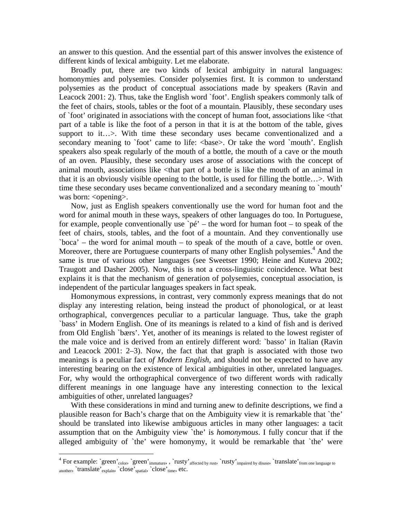an answer to this question. And the essential part of this answer involves the existence of different kinds of lexical ambiguity. Let me elaborate.

Broadly put, there are two kinds of lexical ambiguity in natural languages: homonymies and polysemies. Consider polysemies first. It is common to understand polysemies as the product of conceptual associations made by speakers (Ravin and Leacock 2001: 2). Thus, take the English word `foot'. English speakers commonly talk of the feet of chairs, stools, tables or the foot of a mountain. Plausibly, these secondary uses of `foot' originated in associations with the concept of human foot, associations like <that part of a table is like the foot of a person in that it is at the bottom of the table, gives support to it…>. With time these secondary uses became conventionalized and a secondary meaning to `foot' came to life: <br/>base>. Or take the word `mouth'. English speakers also speak regularly of the mouth of a bottle, the mouth of a cave or the mouth of an oven. Plausibly, these secondary uses arose of associations with the concept of animal mouth, associations like <that part of a bottle is like the mouth of an animal in that it is an obviously visible opening to the bottle, is used for filling the bottle…>. With time these secondary uses became conventionalized and a secondary meaning to `mouth' was born: <opening>.

Now, just as English speakers conventionally use the word for human foot and the word for animal mouth in these ways, speakers of other languages do too. In Portuguese, for example, people conventionally use  $\hat{p}e'$  – the word for human foot – to speak of the feet of chairs, stools, tables, and the foot of a mountain. And they conventionally use `boca' – the word for animal mouth – to speak of the mouth of a cave, bottle or oven. Moreover, there are Portuguese counterparts of many other English polysemies.<sup>4</sup> And the same is true of various other languages (see Sweetser 1990; Heine and Kuteva 2002; Traugott and Dasher 2005). Now, this is not a cross-linguistic coincidence. What best explains it is that the mechanism of generation of polysemies, conceptual association, is independent of the particular languages speakers in fact speak.

Homonymous expressions, in contrast, very commonly express meanings that do not display any interesting relation, being instead the product of phonological, or at least orthographical, convergences peculiar to a particular language. Thus, take the graph `bass' in Modern English. One of its meanings is related to a kind of fish and is derived from Old English `bærs'. Yet, another of its meanings is related to the lowest register of the male voice and is derived from an entirely different word: `basso' in Italian (Ravin and Leacock 2001: 2–3). Now, the fact that that graph is associated with those two meanings is a peculiar fact *of Modern English*, and should not be expected to have any interesting bearing on the existence of lexical ambiguities in other, unrelated languages. For, why would the orthographical convergence of two different words with radically different meanings in one language have any interesting connection to the lexical ambiguities of other, unrelated languages?

With these considerations in mind and turning anew to definite descriptions, we find a plausible reason for Bach's charge that on the Ambiguity view it is remarkable that `the' should be translated into likewise ambiguous articles in many other languages: a tacit assumption that on the Ambiguity view `the' is *homonymous*. I fully concur that if the alleged ambiguity of `the' were homonymy, it would be remarkable that `the' were

<span id="page-2-0"></span> $\frac{1}{4}$ <sup>4</sup> For example: `green'<sub>color</sub>, `green'<sub>immature</sub>, , `rusty'<sub>affected by rust, `rusty'<sub>impaired by disuse</sub>, `translate'<sub>from one language to</sub></sub>  $a_{\text{another}}$ , `translate'<sub>explain</sub>, `close'<sub>spatial</sub>, `close'<sub>time</sub>, etc.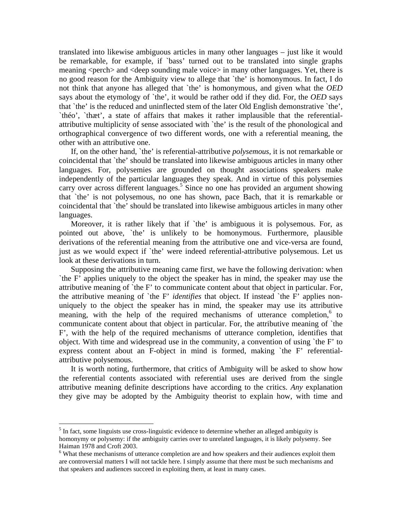translated into likewise ambiguous articles in many other languages – just like it would be remarkable, for example, if `bass' turned out to be translated into single graphs meaning <perch> and <deep sounding male voice> in many other languages. Yet, there is no good reason for the Ambiguity view to allege that `the' is homonymous. In fact, I do not think that anyone has alleged that `the' is homonymous, and given what the *OED* says about the etymology of `the', it would be rather odd if they did. For, the *OED* says that `the' is the reduced and uninflected stem of the later Old English demonstrative `the', `théo', `thæt', a state of affairs that makes it rather implausible that the referentialattributive multiplicity of sense associated with `the' is the result of the phonological and orthographical convergence of two different words, one with a referential meaning, the other with an attributive one.

If, on the other hand, `the' is referential-attributive *polysemous*, it is not remarkable or coincidental that `the' should be translated into likewise ambiguous articles in many other languages. For, polysemies are grounded on thought associations speakers make independently of the particular languages they speak. And in virtue of this polysemies carry over across different languages.<sup>[5](#page-3-0)</sup> Since no one has provided an argument showing that `the' is not polysemous, no one has shown, pace Bach, that it is remarkable or coincidental that `the' should be translated into likewise ambiguous articles in many other languages.

Moreover, it is rather likely that if `the' is ambiguous it is polysemous. For, as pointed out above, `the' is unlikely to be homonymous. Furthermore, plausible derivations of the referential meaning from the attributive one and vice-versa are found, just as we would expect if `the' were indeed referential-attributive polysemous. Let us look at these derivations in turn.

Supposing the attributive meaning came first, we have the following derivation: when `the F' applies uniquely to the object the speaker has in mind, the speaker may use the attributive meaning of `the F' to communicate content about that object in particular. For, the attributive meaning of `the F' *identifies* that object. If instead `the F' applies nonuniquely to the object the speaker has in mind, the speaker may use its attributive meaning, with the help of the required mechanisms of utterance completion,<sup>6</sup> to communicate content about that object in particular. For, the attributive meaning of `the F', with the help of the required mechanisms of utterance completion, identifies that object. With time and widespread use in the community, a convention of using `the F' to express content about an F-object in mind is formed, making `the F' referentialattributive polysemous.

It is worth noting, furthermore, that critics of Ambiguity will be asked to show how the referential contents associated with referential uses are derived from the single attributive meaning definite descriptions have according to the critics. *Any* explanation they give may be adopted by the Ambiguity theorist to explain how, with time and

<span id="page-3-0"></span> $\frac{1}{5}$  $<sup>5</sup>$  In fact, some linguists use cross-linguistic evidence to determine whether an alleged ambiguity is</sup> homonymy or polysemy: if the ambiguity carries over to unrelated languages, it is likely polysemy. See Haiman 1978 and Croft 2003.<br><sup>6</sup> What these mechanisms of utterance completion are and how speakers and their audiences exploit them

<span id="page-3-1"></span>are controversial matters I will not tackle here. I simply assume that there must be such mechanisms and that speakers and audiences succeed in exploiting them, at least in many cases.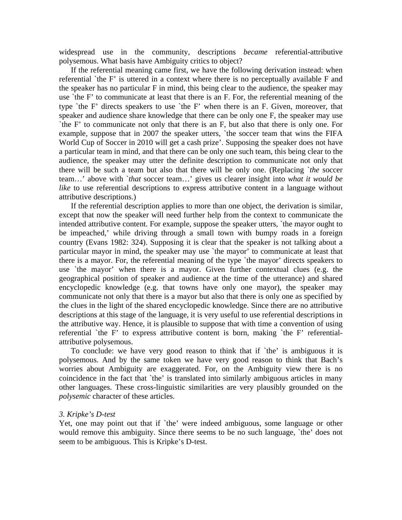widespread use in the community, descriptions *became* referential-attributive polysemous. What basis have Ambiguity critics to object?

If the referential meaning came first, we have the following derivation instead: when referential `the F' is uttered in a context where there is no perceptually available F and the speaker has no particular F in mind, this being clear to the audience, the speaker may use `the F' to communicate at least that there is an F. For, the referential meaning of the type `the F' directs speakers to use `the F' when there is an F. Given, moreover, that speaker and audience share knowledge that there can be only one F, the speaker may use `the F' to communicate not only that there is an F, but also that there is only one. For example, suppose that in 2007 the speaker utters, `the soccer team that wins the FIFA World Cup of Soccer in 2010 will get a cash prize'. Supposing the speaker does not have a particular team in mind, and that there can be only one such team, this being clear to the audience, the speaker may utter the definite description to communicate not only that there will be such a team but also that there will be only one. (Replacing `*the* soccer team…' above with `*that* soccer team…' gives us clearer insight into *what it would be like* to use referential descriptions to express attributive content in a language without attributive descriptions.)

If the referential description applies to more than one object, the derivation is similar, except that now the speaker will need further help from the context to communicate the intended attributive content. For example, suppose the speaker utters, `the mayor ought to be impeached,' while driving through a small town with bumpy roads in a foreign country (Evans 1982: 324). Supposing it is clear that the speaker is not talking about a particular mayor in mind, the speaker may use `the mayor' to communicate at least that there is a mayor. For, the referential meaning of the type `the mayor' directs speakers to use `the mayor' when there is a mayor. Given further contextual clues (e.g. the geographical position of speaker and audience at the time of the utterance) and shared encyclopedic knowledge (e.g. that towns have only one mayor), the speaker may communicate not only that there is a mayor but also that there is only one as specified by the clues in the light of the shared encyclopedic knowledge. Since there are no attributive descriptions at this stage of the language, it is very useful to use referential descriptions in the attributive way. Hence, it is plausible to suppose that with time a convention of using referential `the F' to express attributive content is born, making `the F' referentialattributive polysemous.

To conclude: we have very good reason to think that if `the' is ambiguous it is polysemous. And by the same token we have very good reason to think that Bach's worries about Ambiguity are exaggerated. For, on the Ambiguity view there is no coincidence in the fact that `the' is translated into similarly ambiguous articles in many other languages. These cross-linguistic similarities are very plausibly grounded on the *polysemic* character of these articles.

#### *3. Kripke's D-test*

Yet, one may point out that if `the' were indeed ambiguous, some language or other would remove this ambiguity. Since there seems to be no such language, `the' does not seem to be ambiguous. This is Kripke's D-test.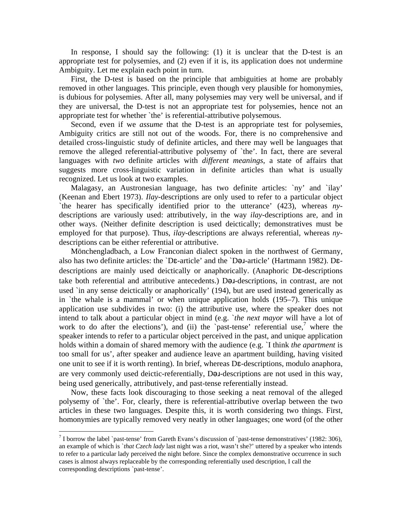In response, I should say the following: (1) it is unclear that the D-test is an appropriate test for polysemies, and (2) even if it is, its application does not undermine Ambiguity. Let me explain each point in turn.

First, the D-test is based on the principle that ambiguities at home are probably removed in other languages. This principle, even though very plausible for homonymies, is dubious for polysemies. After all, many polysemies may very well be universal, and if they are universal, the D-test is not an appropriate test for polysemies, hence not an appropriate test for whether `the' is referential-attributive polysemous.

Second, even if we *assume* that the D-test is an appropriate test for polysemies, Ambiguity critics are still not out of the woods. For, there is no comprehensive and detailed cross-linguistic study of definite articles, and there may well be languages that remove the alleged referential-attributive polysemy of `the'. In fact, there are several languages with *two* definite articles with *different meanings*, a state of affairs that suggests more cross-linguistic variation in definite articles than what is usually recognized. Let us look at two examples.

Malagasy, an Austronesian language, has two definite articles: `ny' and `ilay' (Keenan and Ebert 1973). *Ilay*-descriptions are only used to refer to a particular object `the hearer has specifically identified prior to the utterance' (423), whereas *ny*descriptions are variously used: attributively, in the way *ilay*-descriptions are, and in other ways. (Neither definite description is used deictically; demonstratives must be employed for that purpose). Thus, *ilay*-descriptions are always referential, whereas *ny*descriptions can be either referential or attributive.

Mönchengladbach, a Low Franconian dialect spoken in the northwest of Germany, also has two definite articles: the 'D $\epsilon$ -article' and the 'D $\epsilon$ -article' (Hartmann 1982). D $\epsilon$ descriptions are mainly used deictically or anaphorically. (Anaphoric De-descriptions take both referential and attributive antecedents.) Dou-descriptions, in contrast, are not used `in any sense deictically or anaphorically' (194), but are used instead generically as in `the whale is a mammal' or when unique application holds (195–7). This unique application use subdivides in two: (i) the attributive use, where the speaker does not intend to talk about a particular object in mind (e.g. `*the next mayor* will have a lot of work to do after the elections'), and (ii) the 'past-tense' referential use,<sup>7</sup> where the speaker intends to refer to a particular object perceived in the past, and unique application holds within a domain of shared memory with the audience (e.g. `I think *the apartment* is too small for us', after speaker and audience leave an apartment building, having visited one unit to see if it is worth renting). In brief, whereas De-descriptions, modulo anaphora, are very commonly used deictic-referentially, DOJ-descriptions are not used in this way, being used generically, attributively, and past-tense referentially instead.

Now, these facts look discouraging to those seeking a neat removal of the alleged polysemy of `the'. For, clearly, there is referential-attributive overlap between the two articles in these two languages. Despite this, it is worth considering two things. First, homonymies are typically removed very neatly in other languages; one word (of the other

<span id="page-5-0"></span><sup>-&</sup>lt;br>7 I borrow the label `past-tense' from Gareth Evans's discussion of `past-tense demonstratives' (1982: 306), an example of which is `*that Czech lady* last night was a riot, wasn't she?' uttered by a speaker who intends to refer to a particular lady perceived the night before. Since the complex demonstrative occurrence in such cases is almost always replaceable by the corresponding referentially used description, I call the corresponding descriptions `past-tense'.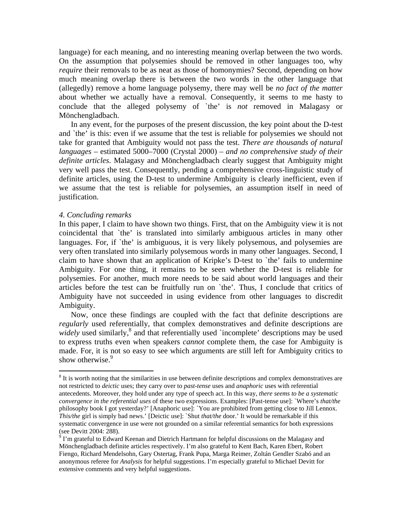language) for each meaning, and no interesting meaning overlap between the two words. On the assumption that polysemies should be removed in other languages too, why *require* their removals to be as neat as those of homonymies? Second, depending on how much meaning overlap there is between the two words in the other language that (allegedly) remove a home language polysemy, there may well be *no fact of the matter* about whether we actually have a removal. Consequently, it seems to me hasty to conclude that the alleged polysemy of `the' is *not* removed in Malagasy or Mönchengladbach.

In any event, for the purposes of the present discussion, the key point about the D-test and `the' is this: even if we assume that the test is reliable for polysemies we should not take for granted that Ambiguity would not pass the test. *There are thousands of natural languages* – estimated 5000–7000 (Crystal 2000) – *and no comprehensive study of their definite articles*. Malagasy and Mönchengladbach clearly suggest that Ambiguity might very well pass the test. Consequently, pending a comprehensive cross-linguistic study of definite articles, using the D-test to undermine Ambiguity is clearly inefficient, even if we assume that the test is reliable for polysemies, an assumption itself in need of justification.

### *4. Concluding remarks*

In this paper, I claim to have shown two things. First, that on the Ambiguity view it is not coincidental that `the' is translated into similarly ambiguous articles in many other languages. For, if `the' is ambiguous, it is very likely polysemous, and polysemies are very often translated into similarly polysemous words in many other languages. Second, I claim to have shown that an application of Kripke's D-test to `the' fails to undermine Ambiguity. For one thing, it remains to be seen whether the D-test is reliable for polysemies. For another, much more needs to be said about world languages and their articles before the test can be fruitfully run on `the'. Thus, I conclude that critics of Ambiguity have not succeeded in using evidence from other languages to discredit Ambiguity.

Now, once these findings are coupled with the fact that definite descriptions are *regularly* used referentially, that complex demonstratives and definite descriptions are widely used similarly,<sup>8</sup> and that referentially used `incomplete' descriptions may be used to express truths even when speakers *cannot* complete them, the case for Ambiguity is made. For, it is not so easy to see which arguments are still left for Ambiguity critics to show otherwise.<sup>9</sup>

<span id="page-6-0"></span> <sup>8</sup>  ${}^{8}$  It is worth noting that the similarities in use between definite descriptions and complex demonstratives are not restricted to *deictic* uses; they carry over to *past-tense* uses and *anaphoric* uses with referential antecedents. Moreover, they hold under any type of speech act. In this way, *there seems to be a systematic convergence in the referential uses* of these two expressions. Examples: [Past-tense use]: `Where's *that/the* philosophy book I got yesterday?' [Anaphoric use]: `You are prohibited from getting close to Jill Lennox. *This/the* girl is simply bad news.' [Deictic use]: `Shut *that/the* door.' It would be remarkable if this systematic convergence in use were not grounded on a similar referential semantics for both expressions (see Devitt 2004: 288).

<span id="page-6-1"></span> $\frac{9}{9}$ I'm grateful to Edward Keenan and Dietrich Hartmann for helpful discussions on the Malagasy and Mönchengladbach definite articles respectively. I'm also grateful to Kent Bach, Karen Ebert, Robert Fiengo, Richard Mendelsohn, Gary Ostertag, Frank Pupa, Marga Reimer, Zoltán Gendler Szabó and an anonymous referee for *Analysis* for helpful suggestions. I'm especially grateful to Michael Devitt for extensive comments and very helpful suggestions.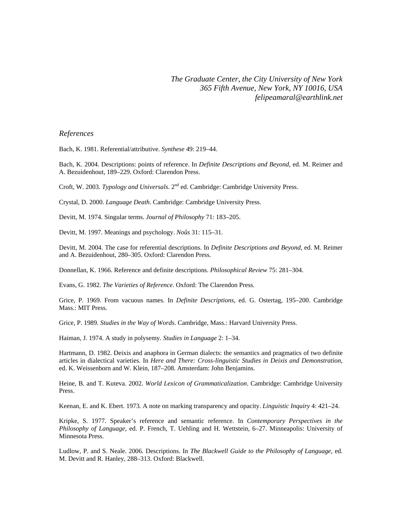*The Graduate Center, the City University of New York 365 Fifth Avenue, New York, NY 10016, USA felipeamaral@earthlink.net* 

## *References*

Bach, K. 1981. Referential/attributive. *Synthese* 49: 219–44.

Bach, K. 2004. Descriptions: points of reference. In *Definite Descriptions and Beyond*, ed. M. Reimer and A. Bezuidenhout, 189–229. Oxford: Clarendon Press.

Croft, W. 2003. *Typology and Universals*. 2<sup>nd</sup> ed. Cambridge: Cambridge University Press.

Crystal, D. 2000. *Language Death*. Cambridge: Cambridge University Press.

Devitt, M. 1974. Singular terms. *Journal of Philosophy* 71: 183–205.

Devitt, M. 1997. Meanings and psychology. *Noûs* 31: 115–31.

Devitt, M. 2004. The case for referential descriptions. In *Definite Descriptions and Beyond*, ed. M. Reimer and A. Bezuidenhout, 280–305. Oxford: Clarendon Press.

Donnellan, K. 1966. Reference and definite descriptions. *Philosophical Review* 75: 281–304.

Evans, G. 1982. *The Varieties of Reference*. Oxford: The Clarendon Press.

Grice, P. 1969. From vacuous names. In *Definite Descriptions*, ed. G. Ostertag, 195–200. Cambridge Mass.: MIT Press.

Grice, P. 1989. *Studies in the Way of Words*. Cambridge, Mass.: Harvard University Press.

Haiman, J. 1974. A study in polysemy. *Studies in Language* 2: 1–34.

Hartmann, D. 1982. Deixis and anaphora in German dialects: the semantics and pragmatics of two definite articles in dialectical varieties. In *Here and There: Cross-linguistic Studies in Deixis and Demonstration*, ed. K. Weissenborn and W. Klein, 187–208. Amsterdam: John Benjamins.

Heine, B. and T. Kuteva. 2002. *World Lexicon of Grammaticalization*. Cambridge: Cambridge University Press.

Keenan, E. and K. Ebert. 1973. A note on marking transparency and opacity. *Linguistic Inquiry* 4: 421–24.

Kripke, S. 1977. Speaker's reference and semantic reference. In *Contemporary Perspectives in the Philosophy of Language*, ed. P. French, T. Uehling and H. Wettstein, 6–27. Minneapolis: University of Minnesota Press.

Ludlow, P. and S. Neale. 2006. Descriptions. In *The Blackwell Guide to the Philosophy of Language*, ed. M. Devitt and R. Hanley, 288–313. Oxford: Blackwell.